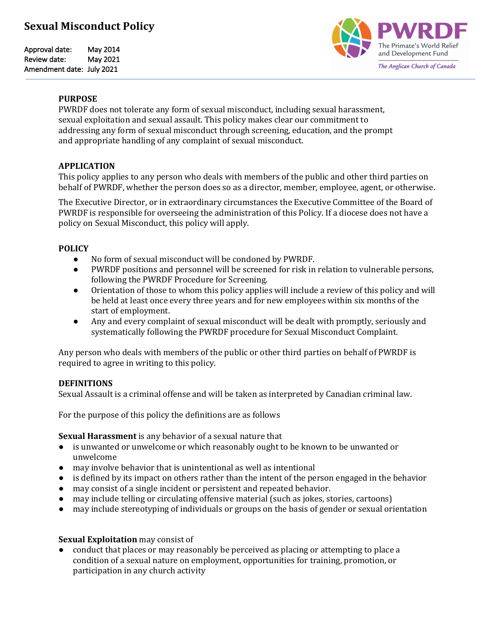# **Sexual Misconduct Policy**

Approval date: May 2014 Review date: May 2021 Amendment date: July 2021



#### **PURPOSE**

PWRDF does not tolerate any form of sexual misconduct, including sexual harassment, sexual exploitation and sexual assault. This policy makes clear our commitment to addressing any form of sexual misconduct through screening, education, and the prompt and appropriate handling of any complaint of sexual misconduct.

## **APPLICATION**

This policy applies to any person who deals with members of the public and other third parties on behalf of PWRDF, whether the person does so as a director, member, employee, agent, or otherwise.

The Executive Director, or in extraordinary circumstances the Executive Committee of the Board of PWRDF is responsible for overseeing the administration of this Policy. If a diocese does not have a policy on Sexual Misconduct, this policy will apply.

### **POLICY**

- No form of sexual misconduct will be condoned by PWRDF.
- PWRDF positions and personnel will be screened for risk in relation to vulnerable persons, following the PWRDF Procedure for Screening.
- Orientation of those to whom this policy applies will include a review of this policy and will be held at least once every three years and for new employees within six months of the start of employment.
- Any and every complaint of sexual misconduct will be dealt with promptly, seriously and systematically following the PWRDF procedure for Sexual Misconduct Complaint.

Any person who deals with members of the public or other third parties on behalf of PWRDF is required to agree in writing to this policy.

## **DEFINITIONS**

Sexual Assault is a criminal offense and will be taken as interpreted by Canadian criminal law.

For the purpose of this policy the definitions are as follows

**Sexual Harassment** is any behavior of a sexual nature that

- is unwanted or unwelcome or which reasonably ought to be known to be unwanted or unwelcome
- $\bullet$  may involve behavior that is unintentional as well as intentional
- is defined by its impact on others rather than the intent of the person engaged in the behavior
- may consist of a single incident or persistent and repeated behavior.
- may include telling or circulating offensive material (such as jokes, stories, cartoons)
- may include stereotyping of individuals or groups on the basis of gender or sexual orientation

#### **Sexual Exploitation** may consist of

conduct that places or may reasonably be perceived as placing or attempting to place a condition of a sexual nature on employment, opportunities for training, promotion, or participation in any church activity